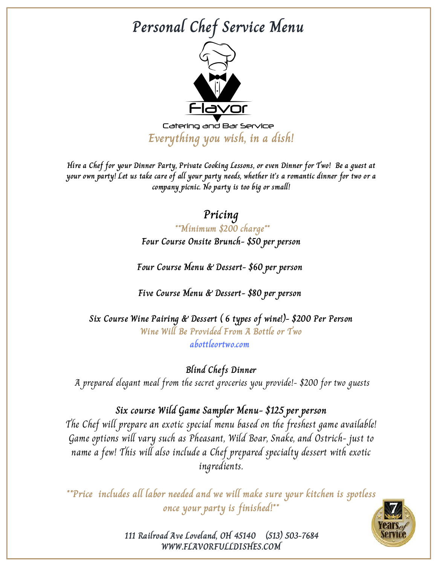

Catering and Bar Service **Everything you wish, in a dish!**

Hire a Chef for your Dinner Party, Private Cooking Lessons, or even Dinner for Two! Be a guest at your own party! Let us take care of all your party needs, whether it's a romantic dinner for two or a **company picnic. No party is too big or small!**

#### **Pricing**

**\*\*Minimum \$200 charge\*\* Four Course Onsite Brunch- \$50 per person**

**Four Course Menu & Dessert- \$60 per person**

**Five Course Menu & Dessert- \$80 per person**

**Six Course Wine Pairing & Dessert ( 6 types of wine!)- \$200 Per Person Wine Will Be Provided From A Bottle or Two abottleortwo.com**

**Blind Chefs Dinner** A prepared elegant meal from the secret groceries you provide!- \$200 for two guests

#### **Six course Wild Game Sampler Menu- \$125 per person**

The Chef will prepare an exotic special menu based on the freshest game available! Game options will vary such as Pheasant, Wild Boar, Snake, and Ostrich- just to name a few! This will also include a Chef prepared specialty dessert with exotic ingredients.

**\*\*Price includes all labor needed and we will make sure your kitchen is spotless once your party is finished!\*\***

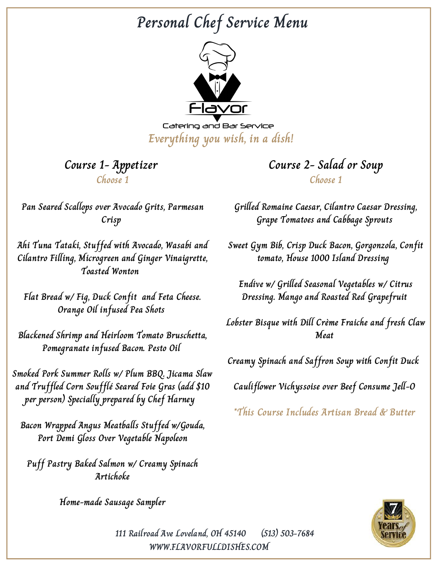

Catering and Bar Service **Everything you wish, in a dish!**

**Course 1- Appetizer Choose 1**

**Course 2- Salad or Soup Choose 1**

**Pan Seared Scallops over Avocado Grits, Parmesan Crisp**

**Ahi Tuna Tataki, Stuffed with Avocado, Wasabi and Cilantro Filling, Microgreen and Ginger Vinaigrette, Toasted Wonton**

**Flat Bread w/ Fig, Duck Confit and Feta Cheese. Orange Oil infused Pea Shots**

**Blackened Shrimp and Heirloom Tomato Bruschetta, Pomegranate infused Bacon. Pesto Oil**

**Smoked Pork Summer Rolls w/ Plum BBQ. Jicama Slaw and Truffled Corn Soufflé Seared Foie Gras (add \$10 per person) Specially prepared by Chef Harney**

**Bacon Wrapped Angus Meatballs Stuffed w/Gouda, Port Demi Gloss Over Vegetable Napoleon**

**Puff Pastry Baked Salmon w/ Creamy Spinach Artichoke**

**Home-made Sausage Sampler**

**Grilled Romaine Caesar, Cilantro Caesar Dressing, Grape Tomatoes and Cabbage Sprouts**

**Sweet Gym Bib, Crisp Duck Bacon, Gorgonzola, Confit tomato, House 1000 Island Dressing**

**Endive w/ Grilled Seasonal Vegetables w/ Citrus Dressing. Mango and Roasted Red Grapefruit**

**Lobster Bisque with Dill Crème Fraiche and fresh Claw Meat**

**Creamy Spinach and Saffron Soup with Confit Duck**

**Cauliflower Vichyssoise over Beef Consume Jell-O**

**\*This Course Includes Artisan Bread & Butter**

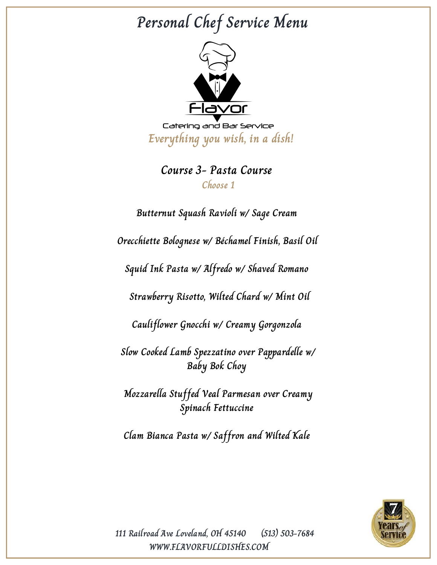

Catering and Bar Service **Everything you wish, in a dish!**

#### **Course 3- Pasta Course Choose 1**

**Butternut Squash Ravioli w/ Sage Cream Orecchiette Bolognese w/ Béchamel Finish, Basil Oil Squid Ink Pasta w/ Alfredo w/ Shaved Romano Strawberry Risotto, Wilted Chard w/ Mint Oil Cauliflower Gnocchi w/ Creamy Gorgonzola Slow Cooked Lamb Spezzatino over Pappardelle w/ Baby Bok Choy Mozzarella Stuffed Veal Parmesan over Creamy Spinach Fettuccine Clam Bianca Pasta w/ Saffron and Wilted Kale**

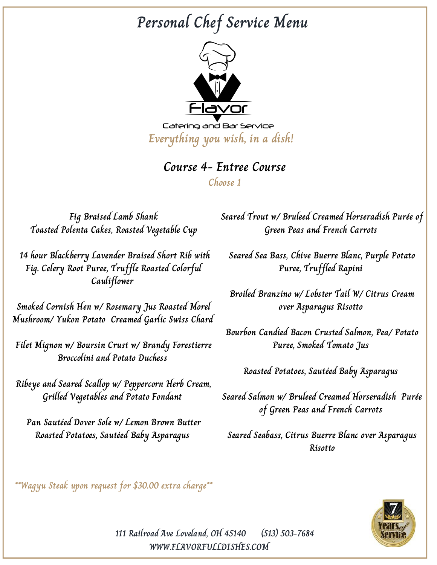

**Everything you wish, in a dish!**

#### **Course 4- Entree Course**

**Choose 1**

**Fig Braised Lamb Shank Toasted Polenta Cakes, Roasted Vegetable Cup**

**14 hour Blackberry Lavender Braised Short Rib with Fig. Celery Root Puree, Truffle Roasted Colorful Cauliflower**

**Smoked Cornish Hen w/ Rosemary Jus Roasted Morel Mushroom/ Yukon Potato Creamed Garlic Swiss Chard**

**Filet Mignon w/ Boursin Crust w/ Brandy Forestierre Broccolini and Potato Duchess**

**Ribeye and Seared Scallop w/ Peppercorn Herb Cream, Grilled Vegetables and Potato Fondant**

**Pan Sautéed Dover Sole w/ Lemon Brown Butter Roasted Potatoes, Sautéed Baby Asparagus**

**Seared Trout w/ Bruleed Creamed Horseradish Purée of Green Peas and French Carrots**

**Seared Sea Bass, Chive Buerre Blanc, Purple Potato Puree, Truffled Rapini**

**Broiled Branzino w/ Lobster Tail W/ Citrus Cream over Asparagus Risotto**

**Bourbon Candied Bacon Crusted Salmon, Pea/ Potato Puree, Smoked Tomato Jus**

**Roasted Potatoes, Sautéed Baby Asparagus**

**Seared Salmon w/ Bruleed Creamed Horseradish Purée of Green Peas and French Carrots**

**Seared Seabass, Citrus Buerre Blanc over Asparagus Risotto**

**\*\*Wagyu Steak upon request for \$30.00 extra charge\*\***

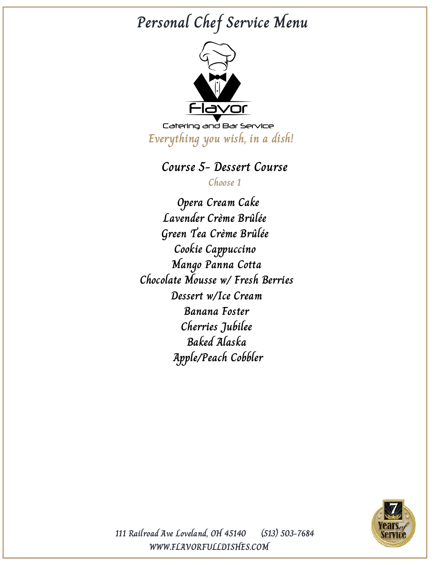

Catering and Bar Service **Everything you wish, in a dish!**

#### **Course 5- Dessert Course**

**Choose 1**

**Opera Cream Cake Lavender Crème Brûlée Green Tea Crème Brûlée Cookie Cappuccino Mango Panna Cotta Chocolate Mousse w/ Fresh Berries Dessert w/Ice Cream Banana Foster Cherries Jubilee Baked Alaska Apple/Peach Cobbler**

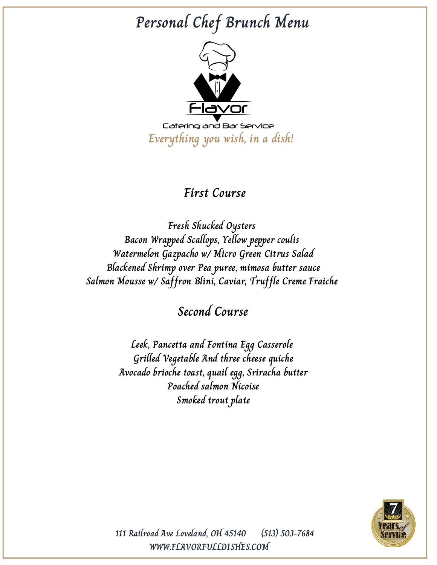# **Personal Chef Brunch Menu**



**Everything you wish, in a dish!**

### **First Course**

**Fresh Shucked Oysters Bacon Wrapped Scallops, Yellow pepper coulis Watermelon Gazpacho w/ Micro Green Citrus Salad Blackened Shrimp over Pea puree, mimosa butter sauce Salmon Mousse w/ Saffron Blini, Caviar, Truffle Creme Fraiche**

**Second Course**

**Leek, Pancetta and Fontina Egg Casserole Grilled Vegetable And three cheese quiche Avocado brioche toast, quail egg, Sriracha butter Poached salmon Nicoise Smoked trout plate**